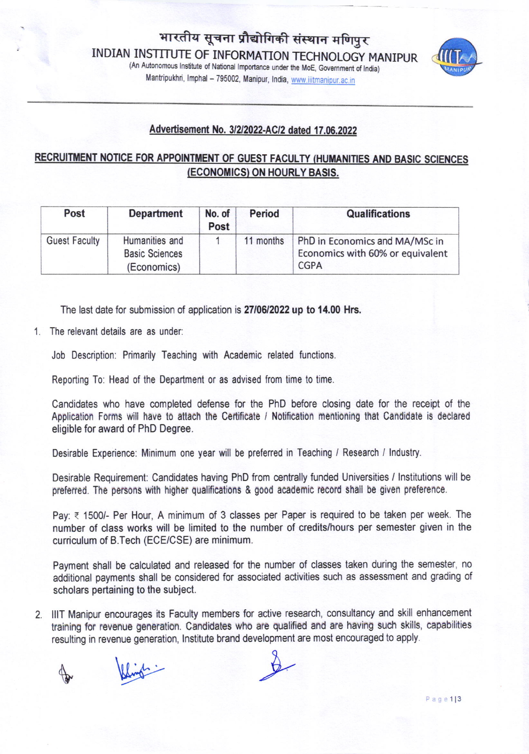(An Autonomous Institute of National Importance under the MoE, Government of India) Mantripukhri, Imphal - 795002, Manipur, India, www.iiitmanipur.ac.in



## Advertisement No. 3/2/2022-AC/2 dated 17.06.2022

## RECRUITMENT NOTICE FOR APPOINTMENT OF GUEST FACULTY (HUMANITIES AND BASIC SCIENCES (ECONOMICS) ON HOURLY BASIS.

| Post                 | <b>Department</b>                                      | No. of<br>Post | <b>Period</b> | <b>Qualifications</b>                                                             |
|----------------------|--------------------------------------------------------|----------------|---------------|-----------------------------------------------------------------------------------|
| <b>Guest Faculty</b> | Humanities and<br><b>Basic Sciences</b><br>(Economics) |                | 11 months     | PhD in Economics and MA/MSc in<br>Economics with 60% or equivalent<br><b>CGPA</b> |

The last date for submission of application is 2710612022 up to 14.00 Hrs.

1. The relevant details are as under:

Job Description: Primarily Teaching with Academic related functions.

Reporting To: Head of the Department or as advised from time to time.

Candidates who have completed defense for the PhD before closing date for the receipt of the Application Forms will have to attach the Certificate / Notification mentioning that Candidate is declared eligible for award of PhD Degree.

Desirable Experience: Minimum one year will be preferred in Teaching / Research / lndustry.

Desirable Requirement: Candidates having PhD from centrally funded Universities / lnstitutions will be preferred. The persons with higher qualifications & good academic record shall be given preference.

Pay: ₹ 1500/- Per Hour, A minimum of 3 classes per Paper is required to be taken per week. The number of class works will be limited to the number of credits/hours per semester given in the curriculum of B.Tech (ECE/CSE) are minimum.

Payment shall be calculated and released for the number of classes taken during the semester, no additional payments shall be considered for associated activities such as assessment and grading of scholars pertaining to the subject.

2. lllT Manipur encourages its Faculty members for active research, consultancy and skill enhancement training for revenue generation. Candidates who are qualified and are having such skills, capabilities resulting in revenue generation, lnstitute brand development are most encouraged to apply.

for Wings.